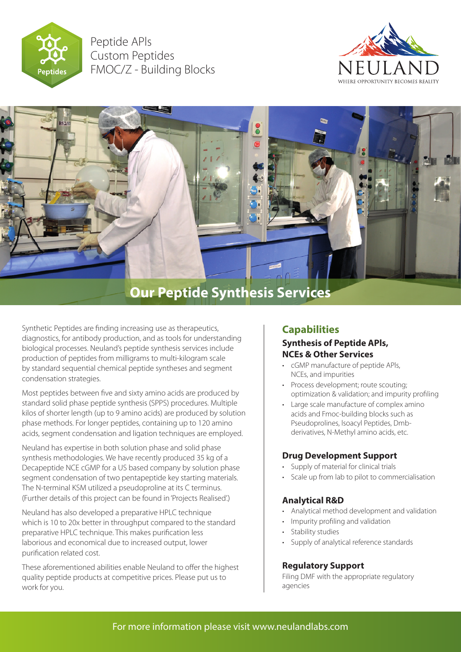

Peptide APls Custom Peptides FMOC/Z - Building Blocks





Synthetic Peptides are finding increasing use as therapeutics, diagnostics, for antibody production, and as tools for understanding biological processes. Neuland's peptide synthesis services include production of peptides from milligrams to multi-kilogram scale by standard sequential chemical peptide syntheses and segment condensation strategies.

Most peptides between five and sixty amino acids are produced by standard solid phase peptide synthesis (SPPS) procedures. Multiple kilos of shorter length (up to 9 amino acids) are produced by solution phase methods. For longer peptides, containing up to 120 amino acids, segment condensation and ligation techniques are employed.

Neuland has expertise in both solution phase and solid phase synthesis methodologies. We have recently produced 35 kg of a Decapeptide NCE cGMP for a US based company by solution phase segment condensation of two pentapeptide key starting materials. The N-terminal KSM utilized a pseudoproline at its C terminus. (Further details of this project can be found in 'Projects Realised'.)

Neuland has also developed a preparative HPLC technique which is 10 to 20x better in throughput compared to the standard preparative HPLC technique. This makes purification less laborious and economical due to increased output, lower purification related cost.

These aforementioned abilities enable Neuland to offer the highest quality peptide products at competitive prices. Please put us to work for you.

# **Capabilities**

## **Synthesis of Peptide APls, NCEs & Other Services**

- cGMP manufacture of peptide APls, NCEs, and impurities
- Process development; route scouting; optimization & validation; and impurity profiling
- Large scale manufacture of complex amino acids and Fmoc-building blocks such as Pseudoprolines, lsoacyl Peptides, Dmbderivatives, N-Methyl amino acids, etc.

## **Drug Development Support**

- Supply of material for clinical trials
- Scale up from lab to pilot to commercialisation

## **Analytical R&D**

- Analytical method development and validation
- Impurity profiling and validation
- Stability studies
- Supply of analytical reference standards

## **Regulatory Support**

Filing DMF with the appropriate regulatory agencies